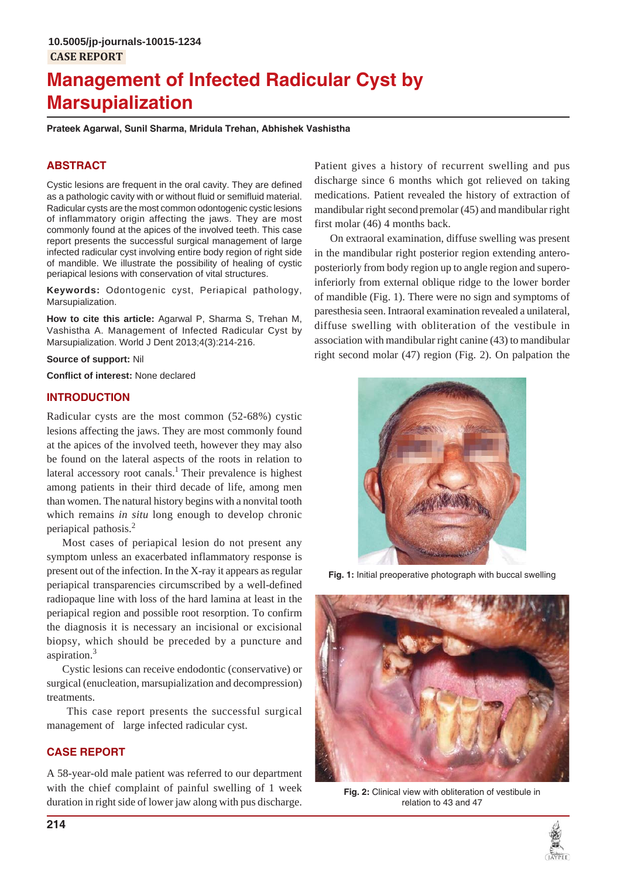# **Management of Infected Radicular Cyst by Marsupialization**

**Prateek Agarwal, Sunil Sharma, Mridula Trehan, Abhishek Vashistha**

## **ABSTRACT**

Cystic lesions are frequent in the oral cavity. They are defined as a pathologic cavity with or without fluid or semifluid material. Radicular cysts are the most common odontogenic cystic lesions of inflammatory origin affecting the jaws. They are most commonly found at the apices of the involved teeth. This case report presents the successful surgical management of large infected radicular cyst involving entire body region of right side of mandible. We illustrate the possibility of healing of cystic periapical lesions with conservation of vital structures.

**Keywords:** Odontogenic cyst, Periapical pathology, Marsupialization.

**How to cite this article:** Agarwal P, Sharma S, Trehan M, Vashistha A. Management of Infected Radicular Cyst by Marsupialization. World J Dent 2013;4(3):214-216.

#### **Source of support:** Nil

**Conflict of interest:** None declared

## **INTRODUCTION**

Radicular cysts are the most common (52-68%) cystic lesions affecting the jaws. They are most commonly found at the apices of the involved teeth, however they may also be found on the lateral aspects of the roots in relation to lateral accessory root canals.<sup>1</sup> Their prevalence is highest among patients in their third decade of life, among men than women. The natural history begins with a nonvital tooth which remains *in situ* long enough to develop chronic periapical pathosis.<sup>2</sup>

Most cases of periapical lesion do not present any symptom unless an exacerbated inflammatory response is present out of the infection. In the X-ray it appears as regular periapical transparencies circumscribed by a well-defined radiopaque line with loss of the hard lamina at least in the periapical region and possible root resorption. To confirm the diagnosis it is necessary an incisional or excisional biopsy, which should be preceded by a puncture and aspiration.<sup>3</sup>

Cystic lesions can receive endodontic (conservative) or surgical (enucleation, marsupialization and decompression) treatments.

 This case report presents the successful surgical management of large infected radicular cyst.

## **CASE REPORT**

A 58-year-old male patient was referred to our department with the chief complaint of painful swelling of 1 week duration in right side of lower jaw along with pus discharge.

Patient gives a history of recurrent swelling and pus discharge since 6 months which got relieved on taking medications. Patient revealed the history of extraction of mandibular right secondpremolar (45) and mandibular right first molar (46) 4 months back.

On extraoral examination, diffuse swelling was present in the mandibular right posterior region extending anteroposteriorly from body region up to angle region and superoinferiorly from external oblique ridge to the lower border of mandible (Fig. 1). There were no sign and symptoms of paresthesia seen. Intraoral examination revealed a unilateral, diffuse swelling with obliteration of the vestibule in association with mandibular right canine (43) to mandibular right second molar (47) region (Fig. 2). On palpation the



**Fig. 1:** Initial preoperative photograph with buccal swelling



**Fig. 2:** Clinical view with obliteration of vestibule in relation to 43 and 47

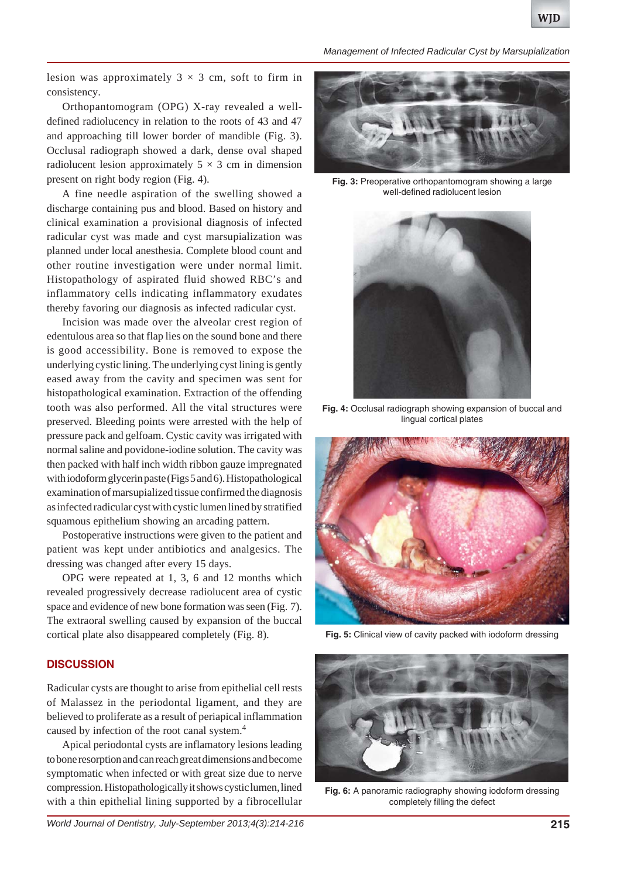*Management of Infected Radicular Cyst by Marsupialization*

lesion was approximately  $3 \times 3$  cm, soft to firm in consistency.

Orthopantomogram (OPG) X-ray revealed a welldefined radiolucency in relation to the roots of 43 and 47 and approaching till lower border of mandible (Fig. 3). Occlusal radiograph showed a dark, dense oval shaped radiolucent lesion approximately  $5 \times 3$  cm in dimension present on right body region (Fig. 4).

A fine needle aspiration of the swelling showed a discharge containing pus and blood. Based on history and clinical examination a provisional diagnosis of infected radicular cyst was made and cyst marsupialization was planned under local anesthesia. Complete blood count and other routine investigation were under normal limit. Histopathology of aspirated fluid showed RBC's and inflammatory cells indicating inflammatory exudates thereby favoring our diagnosis as infected radicular cyst.

Incision was made over the alveolar crest region of edentulous area so that flap lies on the sound bone and there is good accessibility. Bone is removed to expose the underlying cystic lining. The underlying cyst lining is gently eased away from the cavity and specimen was sent for histopathological examination. Extraction of the offending tooth was also performed. All the vital structures were preserved. Bleeding points were arrested with the help of pressure pack and gelfoam. Cystic cavity was irrigated with normal saline and povidone-iodine solution. The cavity was then packed with half inch width ribbon gauze impregnated with iodoform glycerin paste (Figs 5 and 6). Histopathological examination of marsupialized tissue confirmed the diagnosis as infected radicular cyst with cystic lumen lined by stratified squamous epithelium showing an arcading pattern.

Postoperative instructions were given to the patient and patient was kept under antibiotics and analgesics. The dressing was changed after every 15 days.

OPG were repeated at 1, 3, 6 and 12 months which revealed progressively decrease radiolucent area of cystic space and evidence of new bone formation was seen (Fig. 7). The extraoral swelling caused by expansion of the buccal cortical plate also disappeared completely (Fig. 8).

### **DISCUSSION**

Radicular cysts are thought to arise from epithelial cell rests of Malassez in the periodontal ligament, and they are believed to proliferate as a result of periapical inflammation caused by infection of the root canal system.4

Apical periodontal cysts are inflamatory lesions leading to bone resorption and can reach great dimensions and become symptomatic when infected or with great size due to nerve compression. Histopathologically it shows cystic lumen, lined with a thin epithelial lining supported by a fibrocellular



**Fig. 3:** Preoperative orthopantomogram showing a large well-defined radiolucent lesion



**Fig. 4:** Occlusal radiograph showing expansion of buccal and lingual cortical plates



**Fig. 5:** Clinical view of cavity packed with iodoform dressing



**Fig. 6:** A panoramic radiography showing iodoform dressing completely filling the defect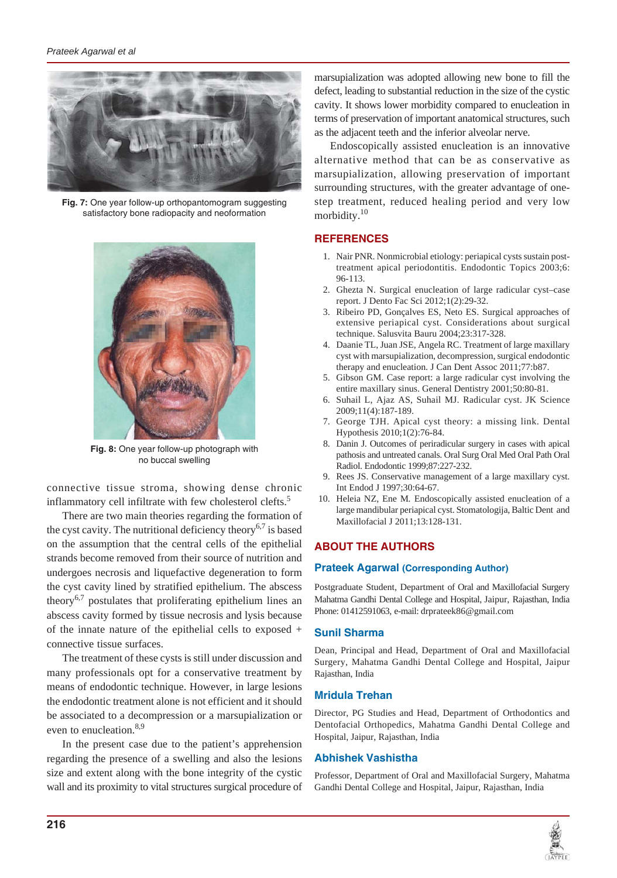

**Fig. 7:** One year follow-up orthopantomogram suggesting satisfactory bone radiopacity and neoformation



**Fig. 8:** One year follow-up photograph with no buccal swelling

connective tissue stroma, showing dense chronic inflammatory cell infiltrate with few cholesterol clefts.<sup>5</sup>

There are two main theories regarding the formation of the cyst cavity. The nutritional deficiency theory<sup>6,7</sup> is based on the assumption that the central cells of the epithelial strands become removed from their source of nutrition and undergoes necrosis and liquefactive degeneration to form the cyst cavity lined by stratified epithelium. The abscess theory<sup>6,7</sup> postulates that proliferating epithelium lines an abscess cavity formed by tissue necrosis and lysis because of the innate nature of the epithelial cells to exposed + connective tissue surfaces.

The treatment of these cysts is still under discussion and many professionals opt for a conservative treatment by means of endodontic technique. However, in large lesions the endodontic treatment alone is not efficient and it should be associated to a decompression or a marsupialization or even to enucleation.<sup>8,9</sup>

In the present case due to the patient's apprehension regarding the presence of a swelling and also the lesions size and extent along with the bone integrity of the cystic wall and its proximity to vital structures surgical procedure of marsupialization was adopted allowing new bone to fill the defect, leading to substantial reduction in the size of the cystic cavity. It shows lower morbidity compared to enucleation in terms of preservation of important anatomical structures, such as the adjacent teeth and the inferior alveolar nerve.

Endoscopically assisted enucleation is an innovative alternative method that can be as conservative as marsupialization, allowing preservation of important surrounding structures, with the greater advantage of onestep treatment, reduced healing period and very low morbidity.10

# **REFERENCES**

- 1. Nair PNR. Nonmicrobial etiology: periapical cysts sustain posttreatment apical periodontitis. Endodontic Topics 2003;6: 96-113.
- 2. Ghezta N. Surgical enucleation of large radicular cyst–case report. J Dento Fac Sci 2012;1(2):29-32.
- 3. Ribeiro PD, Gonçalves ES, Neto ES. Surgical approaches of extensive periapical cyst. Considerations about surgical technique. Salusvita Bauru 2004;23:317-328.
- 4. Daanie TL, Juan JSE, Angela RC. Treatment of large maxillary cyst with marsupialization, decompression, surgical endodontic therapy and enucleation. J Can Dent Assoc 2011;77:b87.
- 5. Gibson GM. Case report: a large radicular cyst involving the entire maxillary sinus. General Dentistry 2001;50:80-81.
- 6. Suhail L, Ajaz AS, Suhail MJ. Radicular cyst. JK Science 2009;11(4):187-189.
- 7. George TJH. Apical cyst theory: a missing link. Dental Hypothesis 2010;1(2):76-84.
- 8. Danin J. Outcomes of periradicular surgery in cases with apical pathosis and untreated canals. Oral Surg Oral Med Oral Path Oral Radiol. Endodontic 1999;87:227-232.
- 9. Rees JS. Conservative management of a large maxillary cyst. Int Endod J 1997;30:64-67.
- 10. Heleia NZ, Ene M*.* Endoscopically assisted enucleation of a large mandibular periapical cyst. Stomatologija, Baltic Dent and Maxillofacial J 2011;13:128-131.

# **ABOUT THE AUTHORS**

## **Prateek Agarwal (Corresponding Author)**

Postgraduate Student, Department of Oral and Maxillofacial Surgery Mahatma Gandhi Dental College and Hospital, Jaipur, Rajasthan, India Phone: 01412591063, e-mail: drprateek86@gmail.com

# **Sunil Sharma**

Dean, Principal and Head, Department of Oral and Maxillofacial Surgery, Mahatma Gandhi Dental College and Hospital, Jaipur Rajasthan, India

# **Mridula Trehan**

Director, PG Studies and Head, Department of Orthodontics and Dentofacial Orthopedics, Mahatma Gandhi Dental College and Hospital, Jaipur, Rajasthan, India

# **Abhishek Vashistha**

Professor, Department of Oral and Maxillofacial Surgery, Mahatma Gandhi Dental College and Hospital, Jaipur, Rajasthan, India

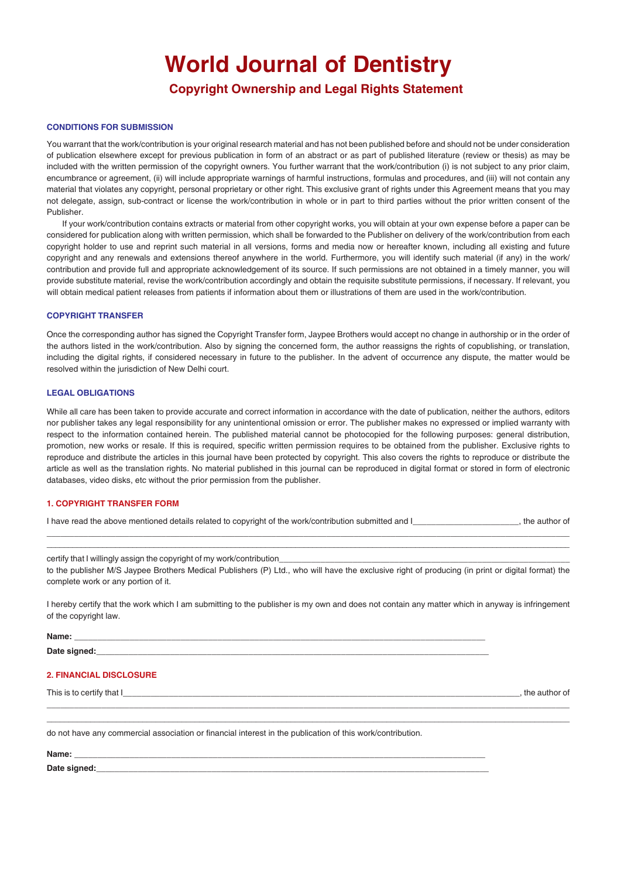# **World Journal of Dentistry**

# **Copyright Ownership and Legal Rights Statement**

#### **CONDITIONS FOR SUBMISSION**

You warrant that the work/contribution is your original research material and has not been published before and should not be under consideration of publication elsewhere except for previous publication in form of an abstract or as part of published literature (review or thesis) as may be included with the written permission of the copyright owners. You further warrant that the work/contribution (i) is not subject to any prior claim, encumbrance or agreement, (ii) will include appropriate warnings of harmful instructions, formulas and procedures, and (iii) will not contain any material that violates any copyright, personal proprietary or other right. This exclusive grant of rights under this Agreement means that you may not delegate, assign, sub-contract or license the work/contribution in whole or in part to third parties without the prior written consent of the Publisher.

If your work/contribution contains extracts or material from other copyright works, you will obtain at your own expense before a paper can be considered for publication along with written permission, which shall be forwarded to the Publisher on delivery of the work/contribution from each copyright holder to use and reprint such material in all versions, forms and media now or hereafter known, including all existing and future copyright and any renewals and extensions thereof anywhere in the world. Furthermore, you will identify such material (if any) in the work/ contribution and provide full and appropriate acknowledgement of its source. If such permissions are not obtained in a timely manner, you will provide substitute material, revise the work/contribution accordingly and obtain the requisite substitute permissions, if necessary. If relevant, you will obtain medical patient releases from patients if information about them or illustrations of them are used in the work/contribution.

#### **COPYRIGHT TRANSFER**

Once the corresponding author has signed the Copyright Transfer form, Jaypee Brothers would accept no change in authorship or in the order of the authors listed in the work/contribution. Also by signing the concerned form, the author reassigns the rights of copublishing, or translation, including the digital rights, if considered necessary in future to the publisher. In the advent of occurrence any dispute, the matter would be resolved within the jurisdiction of New Delhi court.

#### **LEGAL OBLIGATIONS**

While all care has been taken to provide accurate and correct information in accordance with the date of publication, neither the authors, editors nor publisher takes any legal responsibility for any unintentional omission or error. The publisher makes no expressed or implied warranty with respect to the information contained herein. The published material cannot be photocopied for the following purposes: general distribution, promotion, new works or resale. If this is required, specific written permission requires to be obtained from the publisher. Exclusive rights to reproduce and distribute the articles in this journal have been protected by copyright. This also covers the rights to reproduce or distribute the article as well as the translation rights. No material published in this journal can be reproduced in digital format or stored in form of electronic databases, video disks, etc without the prior permission from the publisher.

#### **1. COPYRIGHT TRANSFER FORM**

| I have read the above mentioned details related to copyright of the work/contribution submitted and I_ | the author of |
|--------------------------------------------------------------------------------------------------------|---------------|
|                                                                                                        |               |

\_\_\_\_\_\_\_\_\_\_\_\_\_\_\_\_\_\_\_\_\_\_\_\_\_\_\_\_\_\_\_\_\_\_\_\_\_\_\_\_\_\_\_\_\_\_\_\_\_\_\_\_\_\_\_\_\_\_\_\_\_\_\_\_\_\_\_\_\_\_\_\_\_\_\_\_\_\_\_\_\_\_\_\_\_\_\_\_\_\_\_\_\_\_\_\_\_\_\_\_\_\_\_\_\_\_\_\_\_\_\_\_\_\_\_\_\_\_\_\_\_\_

certify that I willingly assign the copyright of my work/contribution to the publisher M/S Jaypee Brothers Medical Publishers (P) Ltd., who will have the exclusive right of producing (in print or digital format) the complete work or any portion of it.

I hereby certify that the work which I am submitting to the publisher is my own and does not contain any matter which in anyway is infringement of the copyright law.

\_\_\_\_\_\_\_\_\_\_\_\_\_\_\_\_\_\_\_\_\_\_\_\_\_\_\_\_\_\_\_\_\_\_\_\_\_\_\_\_\_\_\_\_\_\_\_\_\_\_\_\_\_\_\_\_\_\_\_\_\_\_\_\_\_\_\_\_\_\_\_\_\_\_\_\_\_\_\_\_\_\_\_\_\_\_\_\_\_\_\_\_\_\_\_\_\_\_\_\_\_\_\_\_\_\_\_\_\_\_\_\_\_\_ \_\_\_\_\_\_\_\_\_\_\_\_\_\_\_\_\_\_\_\_\_\_\_\_\_\_\_\_\_\_\_\_\_\_\_\_\_\_\_\_\_\_\_\_\_\_\_\_\_\_\_\_\_\_\_\_\_\_\_\_\_\_\_\_\_\_\_\_\_\_\_\_\_\_\_\_\_\_\_\_\_\_\_\_\_\_\_\_\_\_\_\_\_\_\_\_\_\_\_\_\_\_\_\_\_\_\_\_\_\_\_\_\_\_\_\_\_\_\_\_

| Name:        |  |
|--------------|--|
| Date signed: |  |

#### **2. FINANCIAL DISCLOSURE**

This is to certify that I\_\_\_\_\_\_\_\_\_\_\_\_\_\_\_\_\_\_\_\_\_\_\_\_\_\_\_\_\_\_\_\_\_\_\_\_\_\_\_\_\_\_\_\_\_\_\_\_\_\_\_\_\_\_\_\_\_\_\_\_\_\_\_\_\_\_\_\_\_\_\_\_\_\_\_\_\_\_\_\_\_\_\_\_\_\_, the author of

do not have any commercial association or financial interest in the publication of this work/contribution.

**Name:** \_\_\_\_\_\_\_\_\_\_\_\_\_\_\_\_\_\_\_\_\_\_\_\_\_\_\_\_\_\_\_\_\_\_\_\_\_\_\_\_\_\_\_\_\_\_\_\_\_\_\_\_\_\_\_\_\_\_\_\_\_\_\_\_\_\_\_\_\_\_\_\_\_\_\_\_\_\_\_\_\_\_\_\_\_\_\_\_\_

Date signed: